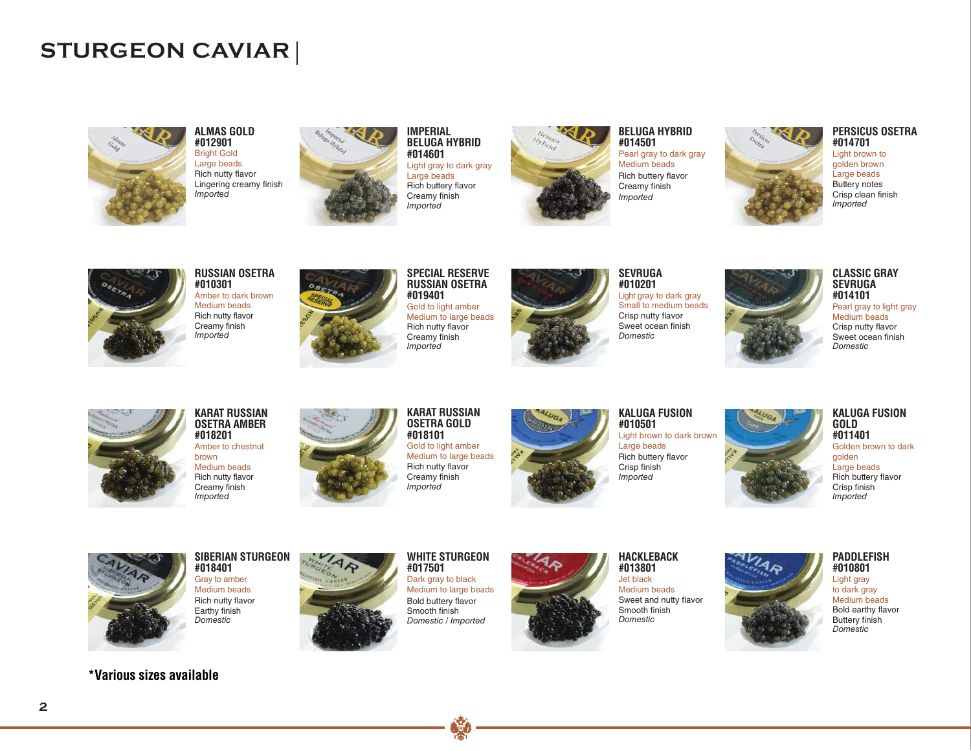## **STURGEON CAVIAR**



**ALMAS GOLD #012901** Bright Gold Large beads *Imported* Rich nutty flavor Lingering creamy finish



**IMPERIAL BELUGA HYBRID #014601** Light gray to dark gray Large beads Rich buttery flavor Creamy finish *Imported*



**BELUGA HYBRID #014501** Pearl gray to dark gray Medium beads Rich buttery flavor Creamy finish *Imported*



### **PERSICUS OSETRA #014701**

Light brown to golden brown Large beads Buttery notes Crisp clean finish *Imported*



**RUSSIAN OSETRA #010301**

Amber to dark brown Medium beads *Imported* Rich nutty flavor<br>Creamy finish



Rich nutty flavor Creamy finish **RUSSIAN OSETRA #019401** Gold to light amber Medium to large beads

*Imported*

**SPECIAL RESERVE**



**#010201** Light gray to dark gray Small to medium beads Crisp nutty flavor Sweet ocean finish *Domestic*

**SEVRUGA**



**CLASSIC GRAY SEVRUGA #014101**

Pearl gray to light gray Medium beads Crisp nutty flavor Sweet ocean finish *Domestic*



**KARAT RUSSIAN OSETRA AMBER #018201**

Amber to chestnut brown Medium beads

Rich nutty flavor Creamy finish *Imported*



**OSETRA GOLD #018101** Gold to light amber Medium to large beads *Imported* Rich nutty flavor Creamy finish

**KARAT RUSSIAN**



**KALUGA FUSION #010501** Light brown to dark brown

Large beads Rich buttery flavor Crisp finish *Imported*



Crisp finish *Imported*



Rich nutty flavor Earthy finish **SIBERIAN STURGEON #018401** Gray to amber Medium beads *Domestic*



**#017501** Dark gray to black Medium to large beads Bold buttery flavor Smooth finish *Domestic / Imported*

**WHITE STURGEON**



**HACKLEBACK #013801** Jet black Medium beads

Sweet and nutty flavor Smooth finish *Domestic*



**PADDLEFISH #010801** Light gray to dark gray Medium beads Bold earthy flavor Buttery finish *Domestic*

**\*Various sizes available \*Various sizes available**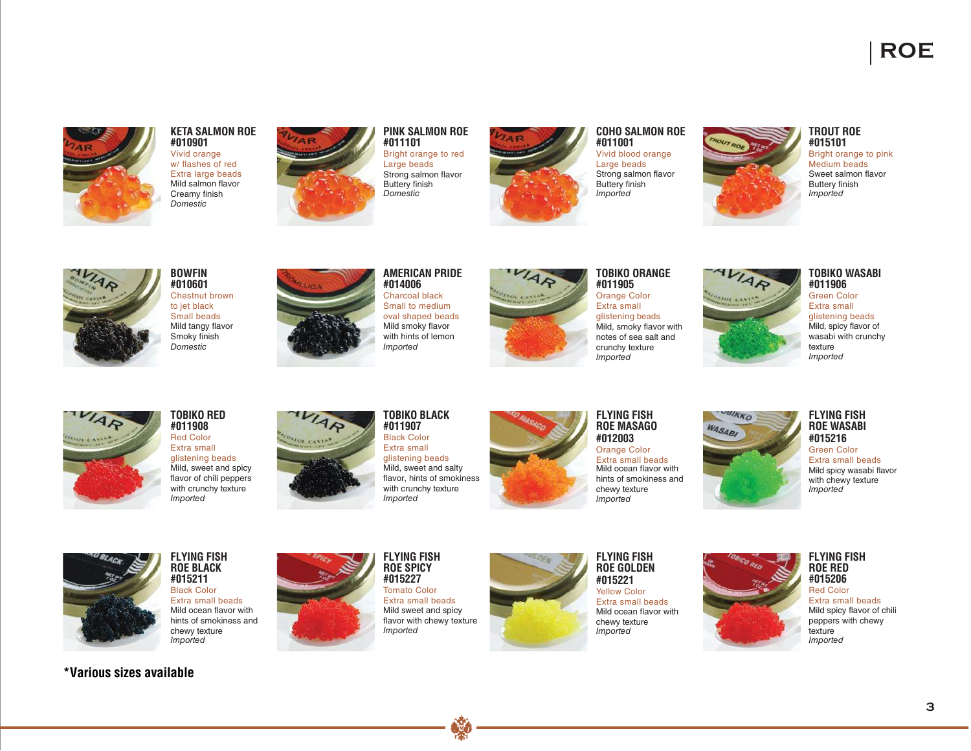

### **KETA SALMON ROE #010901**

Vivid orange w/ flashes of red Extra large beads *Domestic* Mild salmon flavor Creamy finish







### **COHO SALMON ROE #011001** Vivid blood orange Large beads Strong salmon flavor Buttery finish *Imported*



## **TROUT ROE #015101**

Bright orange to pink Medium beads Sweet salmon flavor Buttery finish *Imported*



### **BOWFIN #010601** Chestnut brown to jet black Small beads

Mild tangy flavor Smoky finish *Domestic*



**#014006** Charcoal black Small to medium oval shaped beads Mild smoky flavor with hints of lemon *Imported*

**AMERICAN PRIDE**



**TOBIKO ORANGE #011905** Orange Color

Extra small glistening beads Mild, smoky flavor with notes of sea salt and crunchy texture *Imported*



## **TOBIKO WASABI #011906**

Green Color Extra small glistening beads Mild, spicy flavor of wasabi with crunchy texture *Imported*



## **TOBIKO RED #011908**

Red Color Extra small glistening beads Mild, sweet and spicy flavor of chili peppers with crunchy texture *Imported*



glistening beads Mild, sweet and salty flavor, hints of smokiness with crunchy texture *Imported*



**FLYING FISH ROE MASAGO #012003** Orange Color Extra small beads Mild ocean flavor with hints of smokiness and chewy texture *Imported*





Mild spicy wasabi flavor with chewy texture Green Color Extra small beads *Imported*



**FLYING FISH ROE BLACK #015211** Black Color Extra small beads Mild ocean flavor with hints of smokiness and chewy texture *Imported*

## **\*Various sizes available \*Various sizes available**



**ROE SPICY #015227** Tomato Color Extra small beads Mild sweet and spicy flavor with chewy texture *Imported*



**FLYING FISH ROE GOLDEN #015221** Yellow Color Extra small beads Mild ocean flavor with chewy texture *Imported*



**FLYING FISH ROE RED #015206** Red Color

Extra small beads Mild spicy flavor of chili peppers with chewy texture *Imported*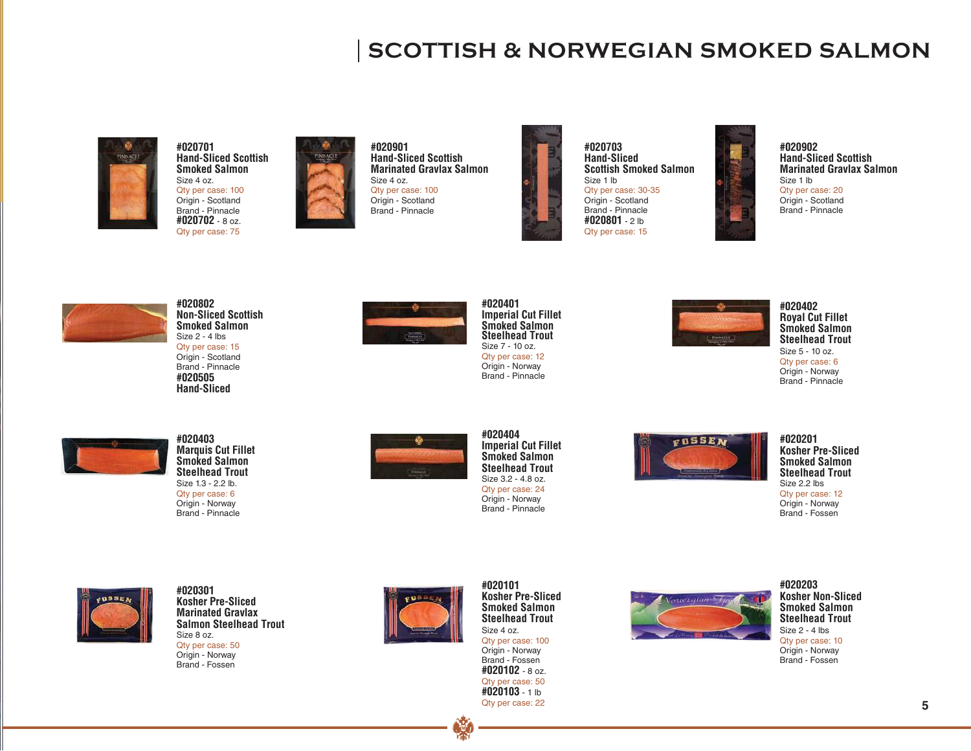## **SCOTTISH & NORWEGIAN SMOKED SALMON**



**#020701 Hand-Sliced Scottish Smoked Salmon** Size 4 oz. Qty per case: 100 Origin - Scotland Brand - Pinnacle **#020702** - 8 oz. Qty per case: 75



**#020901 Hand-Sliced Scottish Marinated Gravlax Salmon** Size 4 oz. Qty per case: 100 Origin - Scotland

Brand - Pinnacle



**#020703 Hand-Sliced Scottish Smoked Salmon** Size 1 lb Qty per case: 30-35 Origin - Scotland Brand - Pinnacle **#020801** - 2 lb Qty per case: 15



**Hand-Sliced Scottish Marinated Gravlax Salmon** Qty per case: 20 Origin - Scotland Brand - Pinnacle



**#020802 #020505 Hand-Sliced Non-Sliced Scottish Smoked Salmon** Size 2 - 4 lbs Qty per case: 15 Origin - Scotland Brand - Pinnacle



**Imperial Cut Fillet Smoked Salmon** Size 7 - 10 oz. Qty per case: 12 Origin - Norway Brand - Pinnacle **Steelhead Trout**



**#020402 Royal Cut Fillet Smoked Salmon**  Size 5 - 10 oz. Qty per case: 6 Origin - Norway Brand - Pinnacle **Steelhead Trout**



**#020403 Marquis Cut Fillet Smoked Salmon** Size 1.3 - 2.2 lb. Qty per case: 6 Origin - Norway Brand - Pinnacle **Steelhead Trout Steelhead Trout**



**#020404 Imperial Cut Fillet Smoked Salmon** Size 3.2 - 4.8 oz. Qty per case: 24 Origin - Norway Brand - Pinnacle



**#020201 Kosher Pre-Sliced Smoked Salmon Steelhead Trout** Size 2.2 lbs Qty per case: 12 Origin - Norway Brand - Fossen



**#020301 Kosher Pre-Sliced Marinated Gravlax Salmon Steelhead Trout** Size 8 oz. Qty per case: 50 Origin - Norway

Brand - Fossen



**#020101 Kosher Pre-Sliced Smoked Salmon Steelhead Trout** Size 4 oz. Qty per case: 100 Origin - Norway Brand - Fossen **#020102** - 8 oz. Qty per case: 50 **#020103** - 1 lb Qty per case: 22



**#020203 Kosher Non-Sliced Smoked Salmon Steelhead Trout** Size 2 - 4 lbs Qty per case: 10 Origin - Norway Brand - Fossen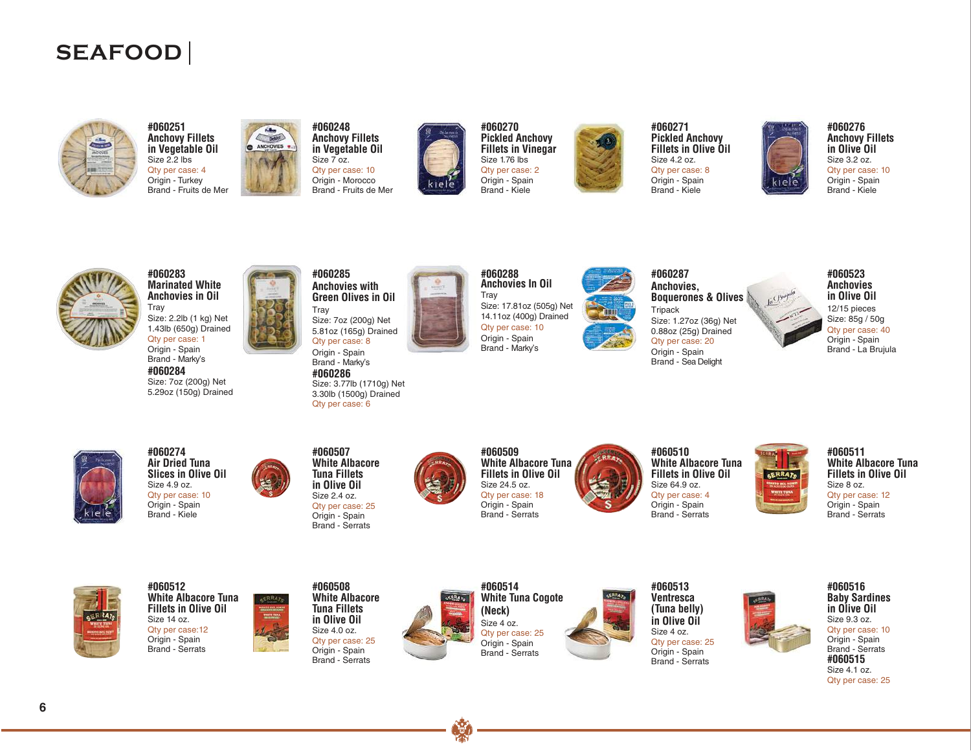# **SEAFOOD**





**#060248** DeMet ANCHOVIES Size 7 oz.



**#060270 Pickled Anchovy Fillets in Vinegar** Size 1.76 lbs Qty per case: 2 Origin - Spain Brand - Kiele



**#060271 Pickled Anchovy Fillets in Olive Oil**  Size 4.2 oz. Qty per case: 8 Origin - Spain Brand - Kiele



**#060276 Anchovy Fillets in Olive Oil** Size 3.2 oz. Qty per case: 10 Origin - Spain Brand - Kiele



**Marinated White Anchovies in Oil #060283** Size: 2.2lb (1 kg) Net 1.43lb (650g) Drained Tray

Qty per case: 1 Origin - Spain Brand - Marky's

**#060284** Size: 7oz (200g) Net 5.29oz (150g) Drained



**Anchovies with Green Olives in Oil** Size: 7oz (200g) Net 5.81oz (165g) Drained Qty per case: 8 Origin - Spain

Size: 3.77lb (1710g) Net 3.30lb (1500g) Drained Brand - Marky's

**Anchovies In Oil #060288** Size: 17.81oz (505g) Net 14.11oz (400g) Drained Tray Qty per case: 10 Origin - Spain Brand - Marky's



**Anchovies, Boquerones & Olives #060287 Tripack** Size: 1.27oz (36g) Net 0.88oz (25g) Drained Qty per case: 20 Origin - Spain

Brand - Sea Delight

**Anchovies in Olive Oil #060523** Size: 85g / 50g 12/15 pieces Qty per case: 40 Origin - Spain Brand - La Brujula



**#060274 Air Dried Tuna Slices in Olive Oil**  Size 4.9 oz. Qty per case: 10 Origin - Spain Brand - Kiele



Size 2.4 oz. Qty per case: 25 Origin - Spain Brand - Serrats

**#060507**

**#060286**

Qty per case: 6



**#060509 White Albacore Tuna Fillets in Olive Oil**  Size 24.5 oz. Qty per case: 18 Origin - Spain Brand - Serrats



**#060510 White Albacore Tuna Fillets in Olive Oil**  Size 64.9 oz. Qty per case: 4 Origin - Spain Brand - Serrats

**#060511 White Albacore Tuna Fillets in Olive Oil** Size 8 oz. Qty per case: 12 Origin - Spain Brand - Serrats











**#060513 Ventresca in Olive Oil** Size 4 oz. Qty per case: 25 Origin - Spain Brand - Serrats **(Tuna belly)**



#### **Baby Sardines in Olive Oil**  Size 9.3 oz. Qty per case: 10 Origin - Spain Brand - Serrats **#060515** Size 4.1 oz. Qty per case: 25

**#060516**